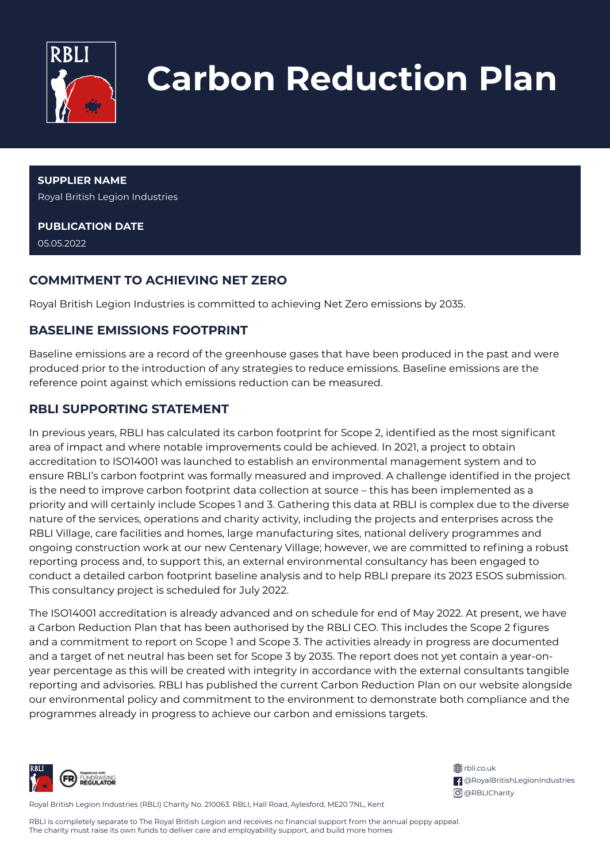

# **Carbon Reduction Plan**

**SUPPLIER NAME** Royal British Legion Industries

**PUBLICATION DATE** 05.05.2022

# **COMMITMENT TO ACHIEVING NET ZERO**

Royal British Legion Industries is committed to achieving Net Zero emissions by 2035.

### **BASELINE EMISSIONS FOOTPRINT**

Baseline emissions are a record of the greenhouse gases that have been produced in the past and were produced prior to the introduction of any strategies to reduce emissions. Baseline emissions are the reference point against which emissions reduction can be measured.

## **RBLI SUPPORTING STATEMENT**

In previous years, RBLI has calculated its carbon footprint for Scope 2, identified as the most significant area of impact and where notable improvements could be achieved. In 2021, a project to obtain accreditation to ISO14001 was launched to establish an environmental management system and to ensure RBLI's carbon footprint was formally measured and improved. A challenge identified in the project is the need to improve carbon footprint data collection at source – this has been implemented as a priority and will certainly include Scopes 1 and 3. Gathering this data at RBLI is complex due to the diverse nature of the services, operations and charity activity, including the projects and enterprises across the RBLI Village, care facilities and homes, large manufacturing sites, national delivery programmes and ongoing construction work at our new Centenary Village; however, we are committed to refining a robust reporting process and, to support this, an external environmental consultancy has been engaged to conduct a detailed carbon footprint baseline analysis and to help RBLI prepare its 2023 ESOS submission. This consultancy project is scheduled for July 2022.

The ISO14001 accreditation is already advanced and on schedule for end of May 2022. At present, we have a Carbon Reduction Plan that has been authorised by the RBLI CEO. This includes the Scope 2 figures and a commitment to report on Scope 1 and Scope 3. The activities already in progress are documented and a target of net neutral has been set for Scope 3 by 2035. The report does not yet contain a year-onyear percentage as this will be created with integrity in accordance with the external consultants tangible reporting and advisories. RBLI has published the current Carbon Reduction Plan on our website alongside our environmental policy and commitment to the environment to demonstrate both compliance and the programmes already in progress to achieve our carbon and emissions targets.



ff rbli.co.uk @RoyalBritishLegionIndustries **O** @RBLICharity

Royal British Legion Industries (RBLI) Charity No. 210063. RBLI, Hall Road, Aylesford, ME20 7NL, Kent

RBLI is completely separate to The Royal British Legion and receives no financial support from the annual poppy appeal. The charity must raise its own funds to deliver care and employability support, and build more homes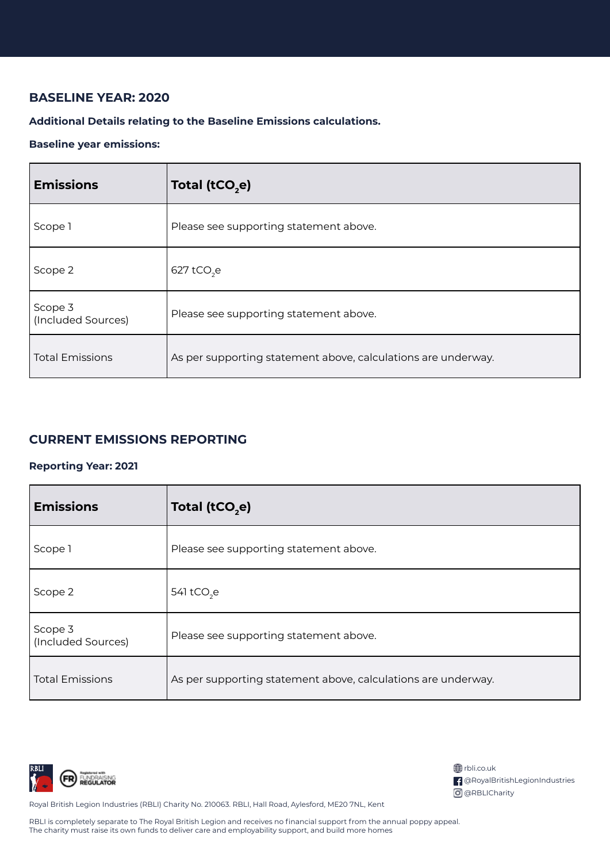## **BASELINE YEAR: 2020**

#### **Additional Details relating to the Baseline Emissions calculations.**

#### **Baseline year emissions:**

| <b>Emissions</b>              | Total (tCO <sub>2</sub> e)                                    |
|-------------------------------|---------------------------------------------------------------|
| Scope 1                       | Please see supporting statement above.                        |
| Scope 2                       | $627$ tCO <sub>2</sub> e                                      |
| Scope 3<br>(Included Sources) | Please see supporting statement above.                        |
| <b>Total Emissions</b>        | As per supporting statement above, calculations are underway. |

### **CURRENT EMISSIONS REPORTING**

#### **Reporting Year: 2021**

| <b>Emissions</b>              | Total (tCO <sub>2</sub> e)                                    |
|-------------------------------|---------------------------------------------------------------|
| Scope 1                       | Please see supporting statement above.                        |
| Scope 2                       | 541 tCO <sub>2</sub> e                                        |
| Scope 3<br>(Included Sources) | Please see supporting statement above.                        |
| <b>Total Emissions</b>        | As per supporting statement above, calculations are underway. |



| <b>第</b> rbli.co.uk                    |  |
|----------------------------------------|--|
| <b>f</b> @RoyalBritishLegionIndustries |  |
| O @RBLICharity                         |  |

Royal British Legion Industries (RBLI) Charity No. 210063. RBLI, Hall Road, Aylesford, ME20 7NL, Kent

RBLI is completely separate to The Royal British Legion and receives no financial support from the annual poppy appeal. The charity must raise its own funds to deliver care and employability support, and build more homes